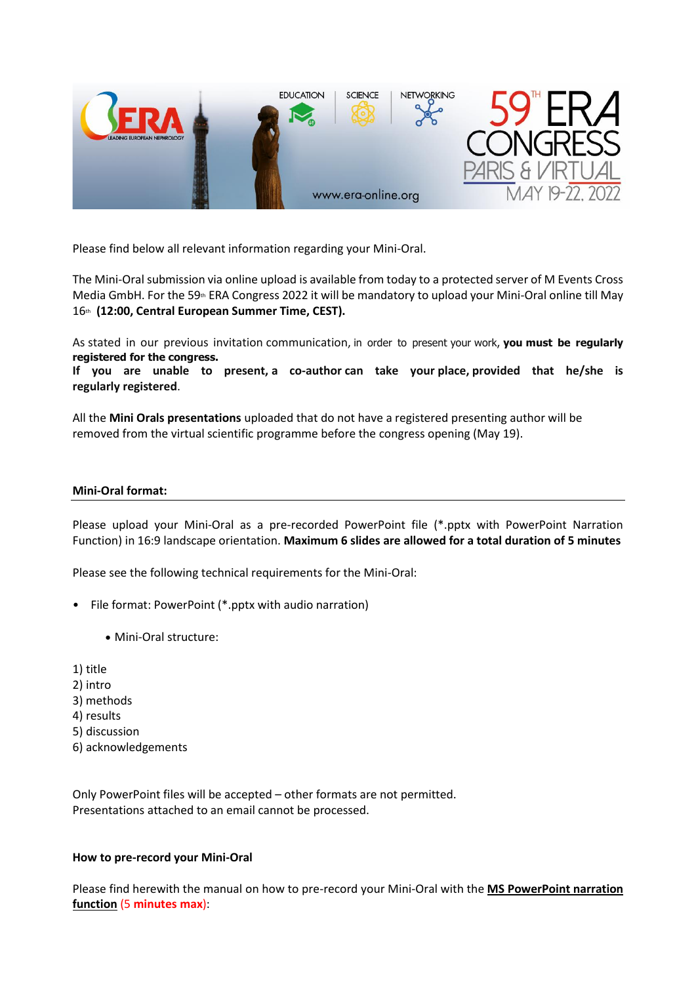

Please find below all relevant information regarding your Mini-Oral.

The Mini-Oral submission via online upload is available from today to a protected server of M Events Cross Media GmbH. For the 59<sup>th</sup> ERA Congress 2022 it will be mandatory to upload your Mini-Oral online till May 16th **(12:00, Central European Summer Time, CEST).**

As stated in our previous invitation communication, in order to present your work, **you must be regularly registered for the congress.**

**If you are unable to present, a co-author can take your place, provided that he/she is regularly registered**.

All the **Mini Orals presentations** uploaded that do not have a registered presenting author will be removed from the virtual scientific programme before the congress opening (May 19).

### **Mini-Oral format:**

Please upload your Mini-Oral as a pre-recorded PowerPoint file (\*.pptx with PowerPoint Narration Function) in 16:9 landscape orientation. **Maximum 6 slides are allowed for a total duration of 5 minutes**

Please see the following technical requirements for the Mini-Oral:

- File format: PowerPoint (\*.pptx with audio narration)
	- Mini-Oral structure:
- 1) title
- 2) intro
- 3) methods
- 4) results
- 5) discussion
- 6) acknowledgements

Only PowerPoint files will be accepted – other formats are not permitted. Presentations attached to an email cannot be processed.

# **How to pre-record your Mini-Oral**

Please find herewith the manual on how to pre-record your Mini-Oral with the **MS PowerPoint narration function** (5 **minutes max**):